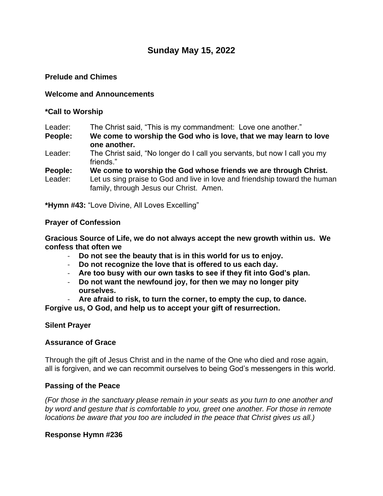# **Sunday May 15, 2022**

# **Prelude and Chimes**

## **Welcome and Announcements**

### **\*Call to Worship**

Leader: The Christ said, "This is my commandment: Love one another."

**People: We come to worship the God who is love, that we may learn to love one another.**

Leader: The Christ said, "No longer do I call you servants, but now I call you my friends."

**People: We come to worship the God whose friends we are through Christ.**

Leader: Let us sing praise to God and live in love and friendship toward the human family, through Jesus our Christ. Amen.

**\*Hymn #43:** "Love Divine, All Loves Excelling"

### **Prayer of Confession**

**Gracious Source of Life, we do not always accept the new growth within us. We confess that often we**

- **Do not see the beauty that is in this world for us to enjoy.**
- **Do not recognize the love that is offered to us each day.**
- **Are too busy with our own tasks to see if they fit into God's plan.**
- **Do not want the newfound joy, for then we may no longer pity ourselves.**

- **Are afraid to risk, to turn the corner, to empty the cup, to dance. Forgive us, O God, and help us to accept your gift of resurrection.**

# **Silent Prayer**

# **Assurance of Grace**

Through the gift of Jesus Christ and in the name of the One who died and rose again, all is forgiven, and we can recommit ourselves to being God's messengers in this world.

# **Passing of the Peace**

*(For those in the sanctuary please remain in your seats as you turn to one another and by word and gesture that is comfortable to you, greet one another. For those in remote locations be aware that you too are included in the peace that Christ gives us all.)*

#### **Response Hymn #236**